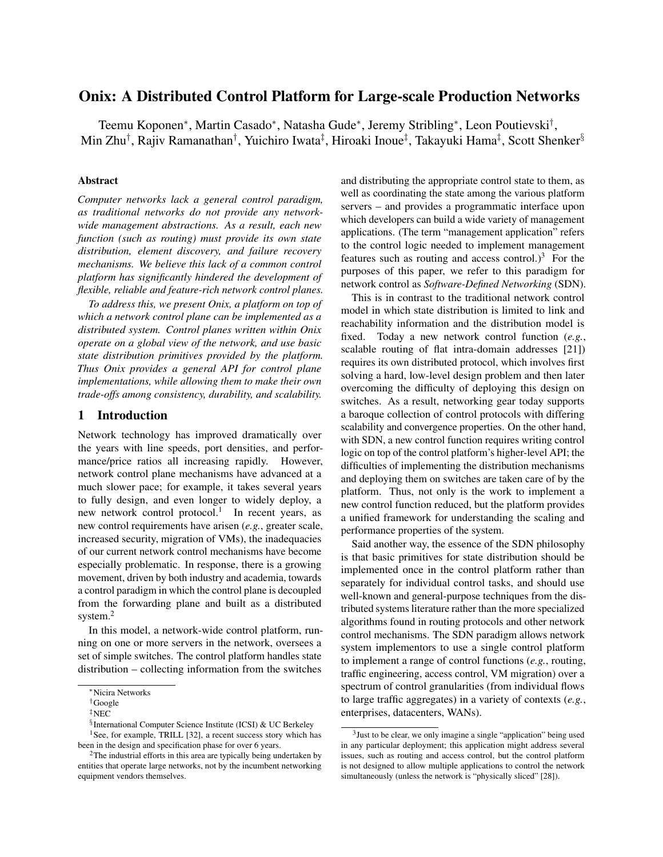# Onix: A Distributed Control Platform for Large-scale Production Networks

Teemu Koponen\*, Martin Casado\*, Natasha Gude\*, Jeremy Stribling\*, Leon Poutievski<sup>†</sup>, Min Zhu<sup>†</sup>, Rajiv Ramanathan<sup>†</sup>, Yuichiro Iwata‡, Hiroaki Inoue‡, Takayuki Hama‡, Scott Shenker<sup>§</sup>

### Abstract

*Computer networks lack a general control paradigm, as traditional networks do not provide any networkwide management abstractions. As a result, each new function (such as routing) must provide its own state distribution, element discovery, and failure recovery mechanisms. We believe this lack of a common control platform has significantly hindered the development of flexible, reliable and feature-rich network control planes.*

*To address this, we present Onix, a platform on top of which a network control plane can be implemented as a distributed system. Control planes written within Onix operate on a global view of the network, and use basic state distribution primitives provided by the platform. Thus Onix provides a general API for control plane implementations, while allowing them to make their own trade-offs among consistency, durability, and scalability.*

### <span id="page-0-3"></span>1 Introduction

Network technology has improved dramatically over the years with line speeds, port densities, and performance/price ratios all increasing rapidly. However, network control plane mechanisms have advanced at a much slower pace; for example, it takes several years to fully design, and even longer to widely deploy, a new network control protocol.<sup>[1](#page-0-0)</sup> In recent years, as new control requirements have arisen (*e.g.*, greater scale, increased security, migration of VMs), the inadequacies of our current network control mechanisms have become especially problematic. In response, there is a growing movement, driven by both industry and academia, towards a control paradigm in which the control plane is decoupled from the forwarding plane and built as a distributed system.<sup>[2](#page-0-1)</sup>

In this model, a network-wide control platform, running on one or more servers in the network, oversees a set of simple switches. The control platform handles state distribution – collecting information from the switches

and distributing the appropriate control state to them, as well as coordinating the state among the various platform servers – and provides a programmatic interface upon which developers can build a wide variety of management applications. (The term "management application" refers to the control logic needed to implement management features such as routing and access control.)<sup>[3](#page-0-2)</sup> For the purposes of this paper, we refer to this paradigm for network control as *Software-Defined Networking* (SDN).

This is in contrast to the traditional network control model in which state distribution is limited to link and reachability information and the distribution model is fixed. Today a new network control function (*e.g.*, scalable routing of flat intra-domain addresses [\[21\]](#page-13-1)) requires its own distributed protocol, which involves first solving a hard, low-level design problem and then later overcoming the difficulty of deploying this design on switches. As a result, networking gear today supports a baroque collection of control protocols with differing scalability and convergence properties. On the other hand, with SDN, a new control function requires writing control logic on top of the control platform's higher-level API; the difficulties of implementing the distribution mechanisms and deploying them on switches are taken care of by the platform. Thus, not only is the work to implement a new control function reduced, but the platform provides a unified framework for understanding the scaling and performance properties of the system.

Said another way, the essence of the SDN philosophy is that basic primitives for state distribution should be implemented once in the control platform rather than separately for individual control tasks, and should use well-known and general-purpose techniques from the distributed systems literature rather than the more specialized algorithms found in routing protocols and other network control mechanisms. The SDN paradigm allows network system implementors to use a single control platform to implement a range of control functions (*e.g.*, routing, traffic engineering, access control, VM migration) over a spectrum of control granularities (from individual flows to large traffic aggregates) in a variety of contexts (*e.g.*, enterprises, datacenters, WANs).

<sup>∗</sup>Nicira Networks

<sup>†</sup>Google

<sup>‡</sup>NEC

<span id="page-0-0"></span><sup>§</sup> International Computer Science Institute (ICSI) & UC Berkeley

<sup>&</sup>lt;sup>1</sup>See, for example, TRILL [\[32\]](#page-13-0), a recent success story which has been in the design and specification phase for over 6 years.

<span id="page-0-1"></span><sup>&</sup>lt;sup>2</sup>The industrial efforts in this area are typically being undertaken by entities that operate large networks, not by the incumbent networking equipment vendors themselves.

<span id="page-0-2"></span><sup>&</sup>lt;sup>3</sup> Just to be clear, we only imagine a single "application" being used in any particular deployment; this application might address several issues, such as routing and access control, but the control platform is not designed to allow multiple applications to control the network simultaneously (unless the network is "physically sliced" [\[28\]](#page-13-2)).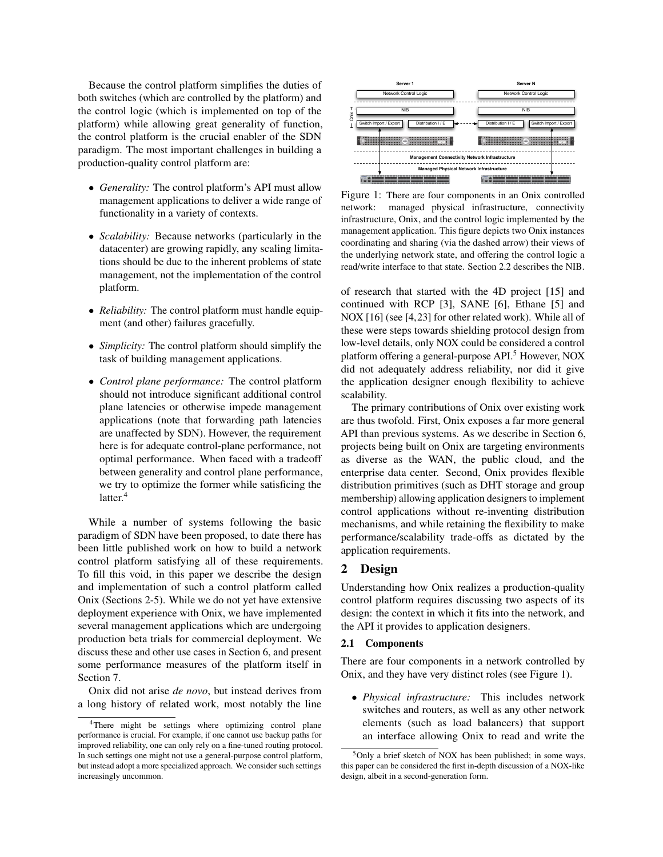Because the control platform simplifies the duties of both switches (which are controlled by the platform) and the control logic (which is implemented on top of the platform) while allowing great generality of function, the control platform is the crucial enabler of the SDN paradigm. The most important challenges in building a production-quality control platform are:

- *Generality:* The control platform's API must allow management applications to deliver a wide range of functionality in a variety of contexts.
- *Scalability:* Because networks (particularly in the datacenter) are growing rapidly, any scaling limitations should be due to the inherent problems of state management, not the implementation of the control platform.
- *Reliability:* The control platform must handle equipment (and other) failures gracefully.
- *Simplicity:* The control platform should simplify the task of building management applications.
- *Control plane performance:* The control platform should not introduce significant additional control plane latencies or otherwise impede management applications (note that forwarding path latencies are unaffected by SDN). However, the requirement here is for adequate control-plane performance, not optimal performance. When faced with a tradeoff between generality and control plane performance, we try to optimize the former while satisficing the latter.<sup>[4](#page-1-0)</sup>

While a number of systems following the basic paradigm of SDN have been proposed, to date there has been little published work on how to build a network control platform satisfying all of these requirements. To fill this void, in this paper we describe the design and implementation of such a control platform called Onix (Sections 2-5). While we do not yet have extensive deployment experience with Onix, we have implemented several management applications which are undergoing production beta trials for commercial deployment. We discuss these and other use cases in Section 6, and present some performance measures of the platform itself in Section 7.

Onix did not arise *de novo*, but instead derives from a long history of related work, most notably the line

<span id="page-1-2"></span>

Figure 1: There are four components in an Onix controlled network: managed physical infrastructure, connectivity infrastructure, Onix, and the control logic implemented by the management application. This figure depicts two Onix instances coordinating and sharing (via the dashed arrow) their views of the underlying network state, and offering the control logic a read/write interface to that state. Section [2.2](#page-2-0) describes the NIB.

of research that started with the 4D project [\[15\]](#page-13-3) and continued with RCP [\[3\]](#page-13-4), SANE [\[6\]](#page-13-5), Ethane [\[5\]](#page-13-6) and NOX [\[16\]](#page-13-7) (see [\[4,](#page-13-8)[23\]](#page-13-9) for other related work). While all of these were steps towards shielding protocol design from low-level details, only NOX could be considered a control platform offering a general-purpose API.<sup>[5](#page-1-1)</sup> However, NOX did not adequately address reliability, nor did it give the application designer enough flexibility to achieve scalability.

The primary contributions of Onix over existing work are thus twofold. First, Onix exposes a far more general API than previous systems. As we describe in Section [6,](#page-8-0) projects being built on Onix are targeting environments as diverse as the WAN, the public cloud, and the enterprise data center. Second, Onix provides flexible distribution primitives (such as DHT storage and group membership) allowing application designers to implement control applications without re-inventing distribution mechanisms, and while retaining the flexibility to make performance/scalability trade-offs as dictated by the application requirements.

### 2 Design

Understanding how Onix realizes a production-quality control platform requires discussing two aspects of its design: the context in which it fits into the network, and the API it provides to application designers.

### 2.1 Components

There are four components in a network controlled by Onix, and they have very distinct roles (see Figure [1\)](#page-1-2).

• *Physical infrastructure:* This includes network switches and routers, as well as any other network elements (such as load balancers) that support an interface allowing Onix to read and write the

<span id="page-1-0"></span><sup>4</sup>There might be settings where optimizing control plane performance is crucial. For example, if one cannot use backup paths for improved reliability, one can only rely on a fine-tuned routing protocol. In such settings one might not use a general-purpose control platform, but instead adopt a more specialized approach. We consider such settings increasingly uncommon.

<span id="page-1-1"></span><sup>5</sup>Only a brief sketch of NOX has been published; in some ways, this paper can be considered the first in-depth discussion of a NOX-like design, albeit in a second-generation form.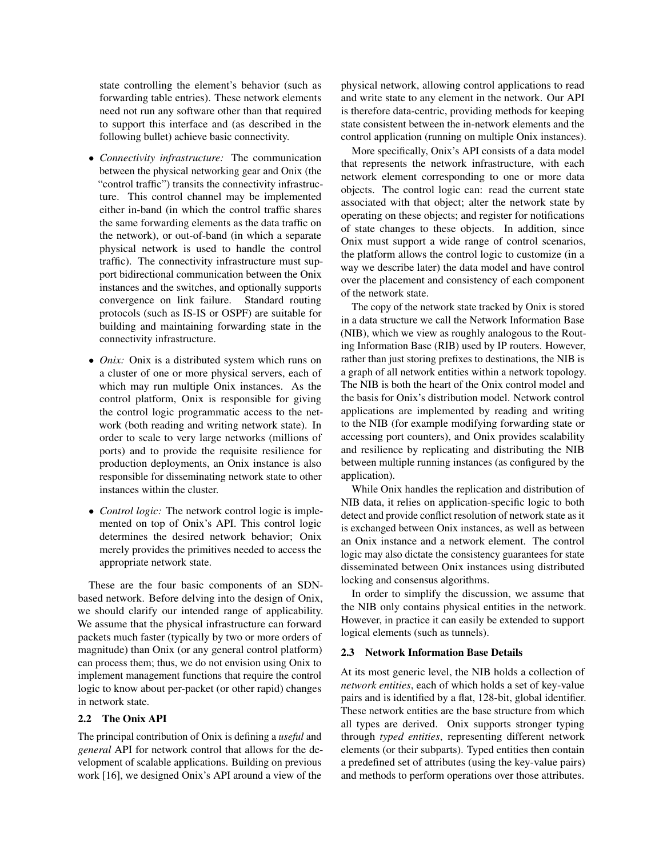state controlling the element's behavior (such as forwarding table entries). These network elements need not run any software other than that required to support this interface and (as described in the following bullet) achieve basic connectivity.

- *Connectivity infrastructure:* The communication between the physical networking gear and Onix (the "control traffic") transits the connectivity infrastructure. This control channel may be implemented either in-band (in which the control traffic shares the same forwarding elements as the data traffic on the network), or out-of-band (in which a separate physical network is used to handle the control traffic). The connectivity infrastructure must support bidirectional communication between the Onix instances and the switches, and optionally supports convergence on link failure. Standard routing protocols (such as IS-IS or OSPF) are suitable for building and maintaining forwarding state in the connectivity infrastructure.
- *Onix:* Onix is a distributed system which runs on a cluster of one or more physical servers, each of which may run multiple Onix instances. As the control platform, Onix is responsible for giving the control logic programmatic access to the network (both reading and writing network state). In order to scale to very large networks (millions of ports) and to provide the requisite resilience for production deployments, an Onix instance is also responsible for disseminating network state to other instances within the cluster.
- *Control logic:* The network control logic is implemented on top of Onix's API. This control logic determines the desired network behavior; Onix merely provides the primitives needed to access the appropriate network state.

These are the four basic components of an SDNbased network. Before delving into the design of Onix, we should clarify our intended range of applicability. We assume that the physical infrastructure can forward packets much faster (typically by two or more orders of magnitude) than Onix (or any general control platform) can process them; thus, we do not envision using Onix to implement management functions that require the control logic to know about per-packet (or other rapid) changes in network state.

### <span id="page-2-0"></span>2.2 The Onix API

The principal contribution of Onix is defining a *useful* and *general* API for network control that allows for the development of scalable applications. Building on previous work [\[16\]](#page-13-7), we designed Onix's API around a view of the

physical network, allowing control applications to read and write state to any element in the network. Our API is therefore data-centric, providing methods for keeping state consistent between the in-network elements and the control application (running on multiple Onix instances).

More specifically, Onix's API consists of a data model that represents the network infrastructure, with each network element corresponding to one or more data objects. The control logic can: read the current state associated with that object; alter the network state by operating on these objects; and register for notifications of state changes to these objects. In addition, since Onix must support a wide range of control scenarios, the platform allows the control logic to customize (in a way we describe later) the data model and have control over the placement and consistency of each component of the network state.

The copy of the network state tracked by Onix is stored in a data structure we call the Network Information Base (NIB), which we view as roughly analogous to the Routing Information Base (RIB) used by IP routers. However, rather than just storing prefixes to destinations, the NIB is a graph of all network entities within a network topology. The NIB is both the heart of the Onix control model and the basis for Onix's distribution model. Network control applications are implemented by reading and writing to the NIB (for example modifying forwarding state or accessing port counters), and Onix provides scalability and resilience by replicating and distributing the NIB between multiple running instances (as configured by the application).

While Onix handles the replication and distribution of NIB data, it relies on application-specific logic to both detect and provide conflict resolution of network state as it is exchanged between Onix instances, as well as between an Onix instance and a network element. The control logic may also dictate the consistency guarantees for state disseminated between Onix instances using distributed locking and consensus algorithms.

In order to simplify the discussion, we assume that the NIB only contains physical entities in the network. However, in practice it can easily be extended to support logical elements (such as tunnels).

#### 2.3 Network Information Base Details

At its most generic level, the NIB holds a collection of *network entities*, each of which holds a set of key-value pairs and is identified by a flat, 128-bit, global identifier. These network entities are the base structure from which all types are derived. Onix supports stronger typing through *typed entities*, representing different network elements (or their subparts). Typed entities then contain a predefined set of attributes (using the key-value pairs) and methods to perform operations over those attributes.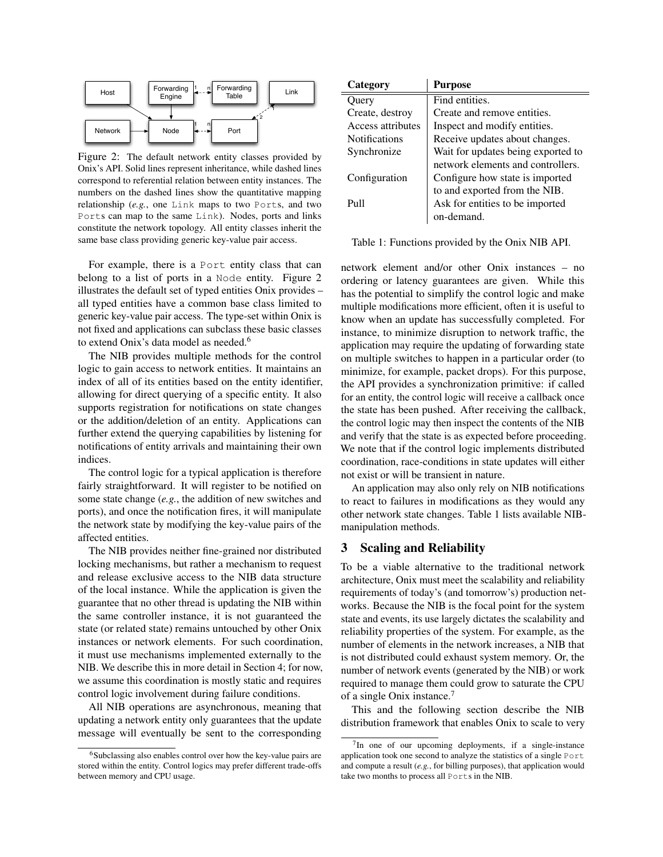<span id="page-3-0"></span>

Figure 2: The default network entity classes provided by Onix's API. Solid lines represent inheritance, while dashed lines correspond to referential relation between entity instances. The numbers on the dashed lines show the quantitative mapping relationship (*e.g.*, one Link maps to two Ports, and two Ports can map to the same Link). Nodes, ports and links constitute the network topology. All entity classes inherit the same base class providing generic key-value pair access.

For example, there is a Port entity class that can belong to a list of ports in a Node entity. Figure [2](#page-3-0) illustrates the default set of typed entities Onix provides – all typed entities have a common base class limited to generic key-value pair access. The type-set within Onix is not fixed and applications can subclass these basic classes to extend Onix's data model as needed.<sup>[6](#page-3-1)</sup>

The NIB provides multiple methods for the control logic to gain access to network entities. It maintains an index of all of its entities based on the entity identifier, allowing for direct querying of a specific entity. It also supports registration for notifications on state changes or the addition/deletion of an entity. Applications can further extend the querying capabilities by listening for notifications of entity arrivals and maintaining their own indices.

The control logic for a typical application is therefore fairly straightforward. It will register to be notified on some state change (*e.g.*, the addition of new switches and ports), and once the notification fires, it will manipulate the network state by modifying the key-value pairs of the affected entities.

The NIB provides neither fine-grained nor distributed locking mechanisms, but rather a mechanism to request and release exclusive access to the NIB data structure of the local instance. While the application is given the guarantee that no other thread is updating the NIB within the same controller instance, it is not guaranteed the state (or related state) remains untouched by other Onix instances or network elements. For such coordination, it must use mechanisms implemented externally to the NIB. We describe this in more detail in Section [4;](#page-6-0) for now, we assume this coordination is mostly static and requires control logic involvement during failure conditions.

All NIB operations are asynchronous, meaning that updating a network entity only guarantees that the update message will eventually be sent to the corresponding

<span id="page-3-2"></span>

| Category             | <b>Purpose</b>                     |  |  |  |
|----------------------|------------------------------------|--|--|--|
| Query                | Find entities.                     |  |  |  |
| Create, destroy      | Create and remove entities.        |  |  |  |
| Access attributes    | Inspect and modify entities.       |  |  |  |
| <b>Notifications</b> | Receive updates about changes.     |  |  |  |
| Synchronize          | Wait for updates being exported to |  |  |  |
|                      | network elements and controllers.  |  |  |  |
| Configuration        | Configure how state is imported    |  |  |  |
|                      | to and exported from the NIB.      |  |  |  |
| $P_{11}11$           | Ask for entities to be imported    |  |  |  |
|                      | on-demand.                         |  |  |  |

Table 1: Functions provided by the Onix NIB API.

network element and/or other Onix instances – no ordering or latency guarantees are given. While this has the potential to simplify the control logic and make multiple modifications more efficient, often it is useful to know when an update has successfully completed. For instance, to minimize disruption to network traffic, the application may require the updating of forwarding state on multiple switches to happen in a particular order (to minimize, for example, packet drops). For this purpose, the API provides a synchronization primitive: if called for an entity, the control logic will receive a callback once the state has been pushed. After receiving the callback, the control logic may then inspect the contents of the NIB and verify that the state is as expected before proceeding. We note that if the control logic implements distributed coordination, race-conditions in state updates will either not exist or will be transient in nature.

An application may also only rely on NIB notifications to react to failures in modifications as they would any other network state changes. Table [1](#page-3-2) lists available NIBmanipulation methods.

# 3 Scaling and Reliability

To be a viable alternative to the traditional network architecture, Onix must meet the scalability and reliability requirements of today's (and tomorrow's) production networks. Because the NIB is the focal point for the system state and events, its use largely dictates the scalability and reliability properties of the system. For example, as the number of elements in the network increases, a NIB that is not distributed could exhaust system memory. Or, the number of network events (generated by the NIB) or work required to manage them could grow to saturate the CPU of a single Onix instance.[7](#page-3-3)

This and the following section describe the NIB distribution framework that enables Onix to scale to very

<span id="page-3-1"></span><sup>6</sup>Subclassing also enables control over how the key-value pairs are stored within the entity. Control logics may prefer different trade-offs between memory and CPU usage.

<span id="page-3-3"></span><sup>&</sup>lt;sup>7</sup>In one of our upcoming deployments, if a single-instance application took one second to analyze the statistics of a single Port and compute a result (*e.g.*, for billing purposes), that application would take two months to process all Ports in the NIB.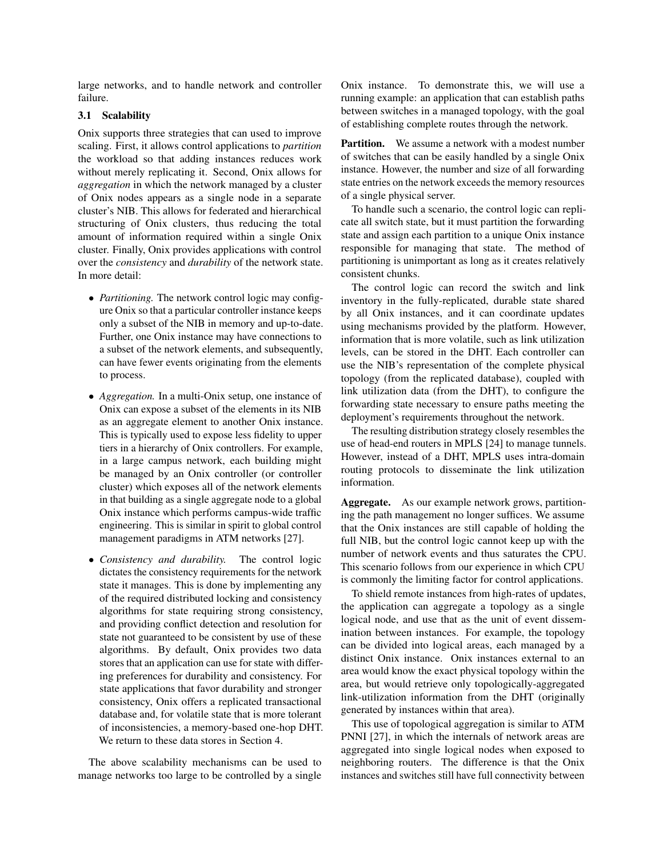large networks, and to handle network and controller failure.

#### 3.1 Scalability

Onix supports three strategies that can used to improve scaling. First, it allows control applications to *partition* the workload so that adding instances reduces work without merely replicating it. Second, Onix allows for *aggregation* in which the network managed by a cluster of Onix nodes appears as a single node in a separate cluster's NIB. This allows for federated and hierarchical structuring of Onix clusters, thus reducing the total amount of information required within a single Onix cluster. Finally, Onix provides applications with control over the *consistency* and *durability* of the network state. In more detail:

- *Partitioning.* The network control logic may configure Onix so that a particular controller instance keeps only a subset of the NIB in memory and up-to-date. Further, one Onix instance may have connections to a subset of the network elements, and subsequently, can have fewer events originating from the elements to process.
- *Aggregation*. In a multi-Onix setup, one instance of Onix can expose a subset of the elements in its NIB as an aggregate element to another Onix instance. This is typically used to expose less fidelity to upper tiers in a hierarchy of Onix controllers. For example, in a large campus network, each building might be managed by an Onix controller (or controller cluster) which exposes all of the network elements in that building as a single aggregate node to a global Onix instance which performs campus-wide traffic engineering. This is similar in spirit to global control management paradigms in ATM networks [\[27\]](#page-13-10).
- *Consistency and durability.* The control logic dictates the consistency requirements for the network state it manages. This is done by implementing any of the required distributed locking and consistency algorithms for state requiring strong consistency, and providing conflict detection and resolution for state not guaranteed to be consistent by use of these algorithms. By default, Onix provides two data stores that an application can use for state with differing preferences for durability and consistency. For state applications that favor durability and stronger consistency, Onix offers a replicated transactional database and, for volatile state that is more tolerant of inconsistencies, a memory-based one-hop DHT. We return to these data stores in Section [4.](#page-6-0)

The above scalability mechanisms can be used to manage networks too large to be controlled by a single Onix instance. To demonstrate this, we will use a running example: an application that can establish paths between switches in a managed topology, with the goal of establishing complete routes through the network.

**Partition.** We assume a network with a modest number of switches that can be easily handled by a single Onix instance. However, the number and size of all forwarding state entries on the network exceeds the memory resources of a single physical server.

To handle such a scenario, the control logic can replicate all switch state, but it must partition the forwarding state and assign each partition to a unique Onix instance responsible for managing that state. The method of partitioning is unimportant as long as it creates relatively consistent chunks.

The control logic can record the switch and link inventory in the fully-replicated, durable state shared by all Onix instances, and it can coordinate updates using mechanisms provided by the platform. However, information that is more volatile, such as link utilization levels, can be stored in the DHT. Each controller can use the NIB's representation of the complete physical topology (from the replicated database), coupled with link utilization data (from the DHT), to configure the forwarding state necessary to ensure paths meeting the deployment's requirements throughout the network.

The resulting distribution strategy closely resembles the use of head-end routers in MPLS [\[24\]](#page-13-11) to manage tunnels. However, instead of a DHT, MPLS uses intra-domain routing protocols to disseminate the link utilization information.

Aggregate. As our example network grows, partitioning the path management no longer suffices. We assume that the Onix instances are still capable of holding the full NIB, but the control logic cannot keep up with the number of network events and thus saturates the CPU. This scenario follows from our experience in which CPU is commonly the limiting factor for control applications.

To shield remote instances from high-rates of updates, the application can aggregate a topology as a single logical node, and use that as the unit of event dissemination between instances. For example, the topology can be divided into logical areas, each managed by a distinct Onix instance. Onix instances external to an area would know the exact physical topology within the area, but would retrieve only topologically-aggregated link-utilization information from the DHT (originally generated by instances within that area).

This use of topological aggregation is similar to ATM PNNI [\[27\]](#page-13-10), in which the internals of network areas are aggregated into single logical nodes when exposed to neighboring routers. The difference is that the Onix instances and switches still have full connectivity between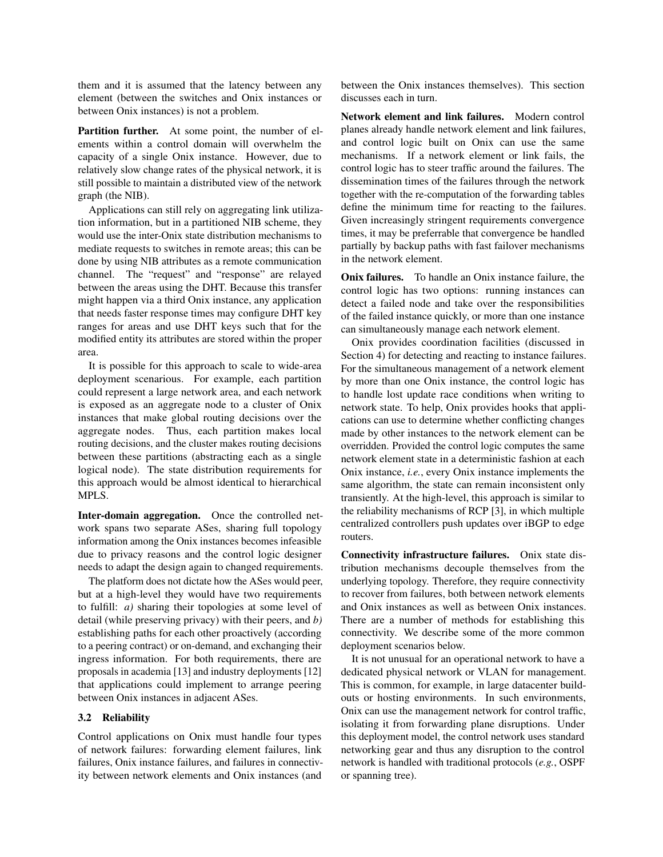them and it is assumed that the latency between any element (between the switches and Onix instances or between Onix instances) is not a problem.

Partition further. At some point, the number of elements within a control domain will overwhelm the capacity of a single Onix instance. However, due to relatively slow change rates of the physical network, it is still possible to maintain a distributed view of the network graph (the NIB).

Applications can still rely on aggregating link utilization information, but in a partitioned NIB scheme, they would use the inter-Onix state distribution mechanisms to mediate requests to switches in remote areas; this can be done by using NIB attributes as a remote communication channel. The "request" and "response" are relayed between the areas using the DHT. Because this transfer might happen via a third Onix instance, any application that needs faster response times may configure DHT key ranges for areas and use DHT keys such that for the modified entity its attributes are stored within the proper area.

It is possible for this approach to scale to wide-area deployment scenarious. For example, each partition could represent a large network area, and each network is exposed as an aggregate node to a cluster of Onix instances that make global routing decisions over the aggregate nodes. Thus, each partition makes local routing decisions, and the cluster makes routing decisions between these partitions (abstracting each as a single logical node). The state distribution requirements for this approach would be almost identical to hierarchical MPLS.

Inter-domain aggregation. Once the controlled network spans two separate ASes, sharing full topology information among the Onix instances becomes infeasible due to privacy reasons and the control logic designer needs to adapt the design again to changed requirements.

The platform does not dictate how the ASes would peer, but at a high-level they would have two requirements to fulfill: *a)* sharing their topologies at some level of detail (while preserving privacy) with their peers, and *b)* establishing paths for each other proactively (according to a peering contract) or on-demand, and exchanging their ingress information. For both requirements, there are proposals in academia [\[13\]](#page-13-12) and industry deployments [\[12\]](#page-13-13) that applications could implement to arrange peering between Onix instances in adjacent ASes.

#### 3.2 Reliability

Control applications on Onix must handle four types of network failures: forwarding element failures, link failures, Onix instance failures, and failures in connectivity between network elements and Onix instances (and

between the Onix instances themselves). This section discusses each in turn.

Network element and link failures. Modern control planes already handle network element and link failures, and control logic built on Onix can use the same mechanisms. If a network element or link fails, the control logic has to steer traffic around the failures. The dissemination times of the failures through the network together with the re-computation of the forwarding tables define the minimum time for reacting to the failures. Given increasingly stringent requirements convergence times, it may be preferrable that convergence be handled partially by backup paths with fast failover mechanisms in the network element.

Onix failures. To handle an Onix instance failure, the control logic has two options: running instances can detect a failed node and take over the responsibilities of the failed instance quickly, or more than one instance can simultaneously manage each network element.

Onix provides coordination facilities (discussed in Section [4\)](#page-6-0) for detecting and reacting to instance failures. For the simultaneous management of a network element by more than one Onix instance, the control logic has to handle lost update race conditions when writing to network state. To help, Onix provides hooks that applications can use to determine whether conflicting changes made by other instances to the network element can be overridden. Provided the control logic computes the same network element state in a deterministic fashion at each Onix instance, *i.e.*, every Onix instance implements the same algorithm, the state can remain inconsistent only transiently. At the high-level, this approach is similar to the reliability mechanisms of RCP [\[3\]](#page-13-4), in which multiple centralized controllers push updates over iBGP to edge routers.

Connectivity infrastructure failures. Onix state distribution mechanisms decouple themselves from the underlying topology. Therefore, they require connectivity to recover from failures, both between network elements and Onix instances as well as between Onix instances. There are a number of methods for establishing this connectivity. We describe some of the more common deployment scenarios below.

It is not unusual for an operational network to have a dedicated physical network or VLAN for management. This is common, for example, in large datacenter buildouts or hosting environments. In such environments, Onix can use the management network for control traffic, isolating it from forwarding plane disruptions. Under this deployment model, the control network uses standard networking gear and thus any disruption to the control network is handled with traditional protocols (*e.g.*, OSPF or spanning tree).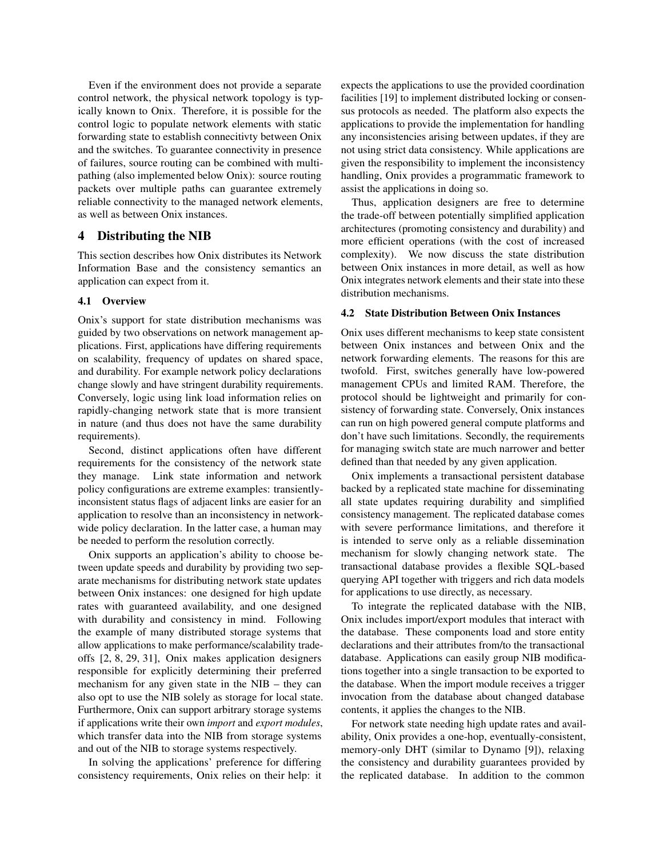Even if the environment does not provide a separate control network, the physical network topology is typically known to Onix. Therefore, it is possible for the control logic to populate network elements with static forwarding state to establish connecitivty between Onix and the switches. To guarantee connectivity in presence of failures, source routing can be combined with multipathing (also implemented below Onix): source routing packets over multiple paths can guarantee extremely reliable connectivity to the managed network elements, as well as between Onix instances.

# <span id="page-6-0"></span>4 Distributing the NIB

This section describes how Onix distributes its Network Information Base and the consistency semantics an application can expect from it.

### 4.1 Overview

Onix's support for state distribution mechanisms was guided by two observations on network management applications. First, applications have differing requirements on scalability, frequency of updates on shared space, and durability. For example network policy declarations change slowly and have stringent durability requirements. Conversely, logic using link load information relies on rapidly-changing network state that is more transient in nature (and thus does not have the same durability requirements).

Second, distinct applications often have different requirements for the consistency of the network state they manage. Link state information and network policy configurations are extreme examples: transientlyinconsistent status flags of adjacent links are easier for an application to resolve than an inconsistency in networkwide policy declaration. In the latter case, a human may be needed to perform the resolution correctly.

Onix supports an application's ability to choose between update speeds and durability by providing two separate mechanisms for distributing network state updates between Onix instances: one designed for high update rates with guaranteed availability, and one designed with durability and consistency in mind. Following the example of many distributed storage systems that allow applications to make performance/scalability tradeoffs [\[2,](#page-13-14) [8,](#page-13-15) [29,](#page-13-16) [31\]](#page-13-17), Onix makes application designers responsible for explicitly determining their preferred mechanism for any given state in the NIB – they can also opt to use the NIB solely as storage for local state. Furthermore, Onix can support arbitrary storage systems if applications write their own *import* and *export modules*, which transfer data into the NIB from storage systems and out of the NIB to storage systems respectively.

In solving the applications' preference for differing consistency requirements, Onix relies on their help: it expects the applications to use the provided coordination facilities [\[19\]](#page-13-18) to implement distributed locking or consensus protocols as needed. The platform also expects the applications to provide the implementation for handling any inconsistencies arising between updates, if they are not using strict data consistency. While applications are given the responsibility to implement the inconsistency handling, Onix provides a programmatic framework to assist the applications in doing so.

Thus, application designers are free to determine the trade-off between potentially simplified application architectures (promoting consistency and durability) and more efficient operations (with the cost of increased complexity). We now discuss the state distribution between Onix instances in more detail, as well as how Onix integrates network elements and their state into these distribution mechanisms.

#### 4.2 State Distribution Between Onix Instances

Onix uses different mechanisms to keep state consistent between Onix instances and between Onix and the network forwarding elements. The reasons for this are twofold. First, switches generally have low-powered management CPUs and limited RAM. Therefore, the protocol should be lightweight and primarily for consistency of forwarding state. Conversely, Onix instances can run on high powered general compute platforms and don't have such limitations. Secondly, the requirements for managing switch state are much narrower and better defined than that needed by any given application.

Onix implements a transactional persistent database backed by a replicated state machine for disseminating all state updates requiring durability and simplified consistency management. The replicated database comes with severe performance limitations, and therefore it is intended to serve only as a reliable dissemination mechanism for slowly changing network state. The transactional database provides a flexible SQL-based querying API together with triggers and rich data models for applications to use directly, as necessary.

To integrate the replicated database with the NIB, Onix includes import/export modules that interact with the database. These components load and store entity declarations and their attributes from/to the transactional database. Applications can easily group NIB modifications together into a single transaction to be exported to the database. When the import module receives a trigger invocation from the database about changed database contents, it applies the changes to the NIB.

For network state needing high update rates and availability, Onix provides a one-hop, eventually-consistent, memory-only DHT (similar to Dynamo [\[9\]](#page-13-19)), relaxing the consistency and durability guarantees provided by the replicated database. In addition to the common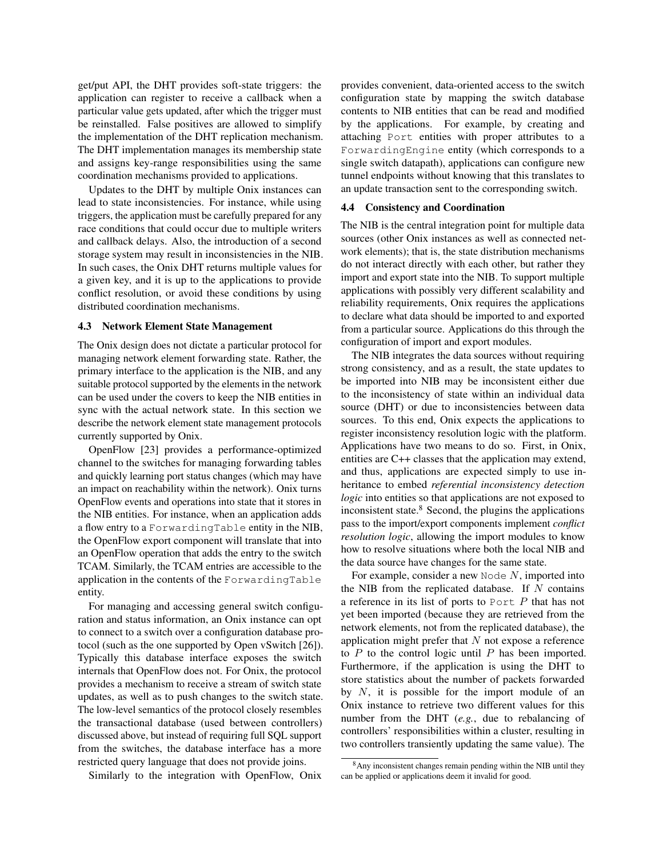get/put API, the DHT provides soft-state triggers: the application can register to receive a callback when a particular value gets updated, after which the trigger must be reinstalled. False positives are allowed to simplify the implementation of the DHT replication mechanism. The DHT implementation manages its membership state and assigns key-range responsibilities using the same coordination mechanisms provided to applications.

Updates to the DHT by multiple Onix instances can lead to state inconsistencies. For instance, while using triggers, the application must be carefully prepared for any race conditions that could occur due to multiple writers and callback delays. Also, the introduction of a second storage system may result in inconsistencies in the NIB. In such cases, the Onix DHT returns multiple values for a given key, and it is up to the applications to provide conflict resolution, or avoid these conditions by using distributed coordination mechanisms.

#### 4.3 Network Element State Management

The Onix design does not dictate a particular protocol for managing network element forwarding state. Rather, the primary interface to the application is the NIB, and any suitable protocol supported by the elements in the network can be used under the covers to keep the NIB entities in sync with the actual network state. In this section we describe the network element state management protocols currently supported by Onix.

OpenFlow [\[23\]](#page-13-9) provides a performance-optimized channel to the switches for managing forwarding tables and quickly learning port status changes (which may have an impact on reachability within the network). Onix turns OpenFlow events and operations into state that it stores in the NIB entities. For instance, when an application adds a flow entry to a ForwardingTable entity in the NIB, the OpenFlow export component will translate that into an OpenFlow operation that adds the entry to the switch TCAM. Similarly, the TCAM entries are accessible to the application in the contents of the ForwardingTable entity.

For managing and accessing general switch configuration and status information, an Onix instance can opt to connect to a switch over a configuration database protocol (such as the one supported by Open vSwitch [\[26\]](#page-13-20)). Typically this database interface exposes the switch internals that OpenFlow does not. For Onix, the protocol provides a mechanism to receive a stream of switch state updates, as well as to push changes to the switch state. The low-level semantics of the protocol closely resembles the transactional database (used between controllers) discussed above, but instead of requiring full SQL support from the switches, the database interface has a more restricted query language that does not provide joins.

Similarly to the integration with OpenFlow, Onix

provides convenient, data-oriented access to the switch configuration state by mapping the switch database contents to NIB entities that can be read and modified by the applications. For example, by creating and attaching Port entities with proper attributes to a ForwardingEngine entity (which corresponds to a single switch datapath), applications can configure new tunnel endpoints without knowing that this translates to an update transaction sent to the corresponding switch.

#### 4.4 Consistency and Coordination

The NIB is the central integration point for multiple data sources (other Onix instances as well as connected network elements); that is, the state distribution mechanisms do not interact directly with each other, but rather they import and export state into the NIB. To support multiple applications with possibly very different scalability and reliability requirements, Onix requires the applications to declare what data should be imported to and exported from a particular source. Applications do this through the configuration of import and export modules.

The NIB integrates the data sources without requiring strong consistency, and as a result, the state updates to be imported into NIB may be inconsistent either due to the inconsistency of state within an individual data source (DHT) or due to inconsistencies between data sources. To this end, Onix expects the applications to register inconsistency resolution logic with the platform. Applications have two means to do so. First, in Onix, entities are C++ classes that the application may extend, and thus, applications are expected simply to use inheritance to embed *referential inconsistency detection logic* into entities so that applications are not exposed to inconsistent state. $8$  Second, the plugins the applications pass to the import/export components implement *conflict resolution logic*, allowing the import modules to know how to resolve situations where both the local NIB and the data source have changes for the same state.

For example, consider a new Node  $N$ , imported into the NIB from the replicated database. If  $N$  contains a reference in its list of ports to  $PortE$  that has not yet been imported (because they are retrieved from the network elements, not from the replicated database), the application might prefer that  $N$  not expose a reference to  $P$  to the control logic until  $P$  has been imported. Furthermore, if the application is using the DHT to store statistics about the number of packets forwarded by  $N$ , it is possible for the import module of an Onix instance to retrieve two different values for this number from the DHT (*e.g.*, due to rebalancing of controllers' responsibilities within a cluster, resulting in two controllers transiently updating the same value). The

<span id="page-7-0"></span><sup>8</sup>Any inconsistent changes remain pending within the NIB until they can be applied or applications deem it invalid for good.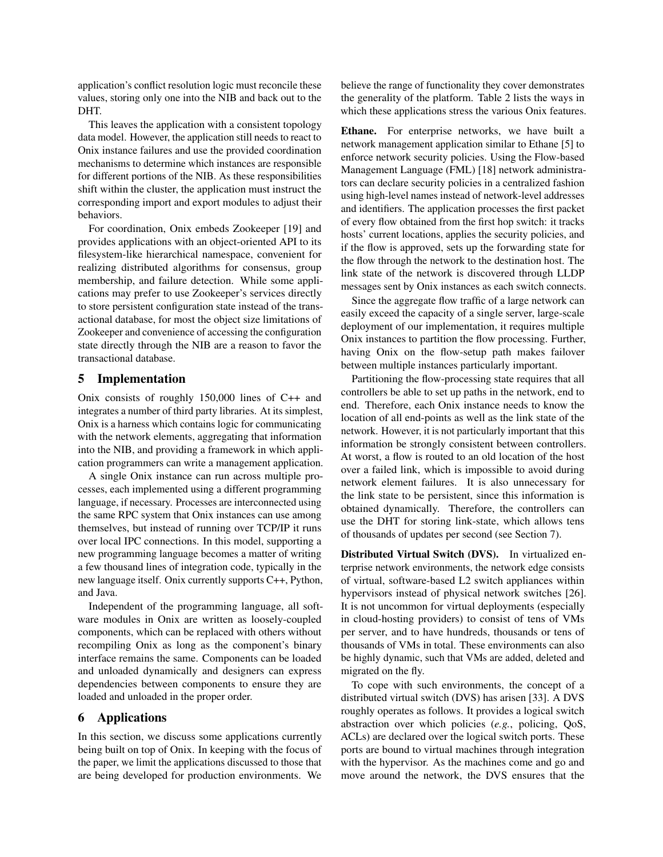application's conflict resolution logic must reconcile these values, storing only one into the NIB and back out to the DHT.

This leaves the application with a consistent topology data model. However, the application still needs to react to Onix instance failures and use the provided coordination mechanisms to determine which instances are responsible for different portions of the NIB. As these responsibilities shift within the cluster, the application must instruct the corresponding import and export modules to adjust their behaviors.

For coordination, Onix embeds Zookeeper [\[19\]](#page-13-18) and provides applications with an object-oriented API to its filesystem-like hierarchical namespace, convenient for realizing distributed algorithms for consensus, group membership, and failure detection. While some applications may prefer to use Zookeeper's services directly to store persistent configuration state instead of the transactional database, for most the object size limitations of Zookeeper and convenience of accessing the configuration state directly through the NIB are a reason to favor the transactional database.

# 5 Implementation

Onix consists of roughly 150,000 lines of C++ and integrates a number of third party libraries. At its simplest, Onix is a harness which contains logic for communicating with the network elements, aggregating that information into the NIB, and providing a framework in which application programmers can write a management application.

A single Onix instance can run across multiple processes, each implemented using a different programming language, if necessary. Processes are interconnected using the same RPC system that Onix instances can use among themselves, but instead of running over TCP/IP it runs over local IPC connections. In this model, supporting a new programming language becomes a matter of writing a few thousand lines of integration code, typically in the new language itself. Onix currently supports C++, Python, and Java.

Independent of the programming language, all software modules in Onix are written as loosely-coupled components, which can be replaced with others without recompiling Onix as long as the component's binary interface remains the same. Components can be loaded and unloaded dynamically and designers can express dependencies between components to ensure they are loaded and unloaded in the proper order.

### <span id="page-8-0"></span>6 Applications

In this section, we discuss some applications currently being built on top of Onix. In keeping with the focus of the paper, we limit the applications discussed to those that are being developed for production environments. We believe the range of functionality they cover demonstrates the generality of the platform. Table [2](#page-9-0) lists the ways in which these applications stress the various Onix features.

Ethane. For enterprise networks, we have built a network management application similar to Ethane [\[5\]](#page-13-6) to enforce network security policies. Using the Flow-based Management Language (FML) [\[18\]](#page-13-21) network administrators can declare security policies in a centralized fashion using high-level names instead of network-level addresses and identifiers. The application processes the first packet of every flow obtained from the first hop switch: it tracks hosts' current locations, applies the security policies, and if the flow is approved, sets up the forwarding state for the flow through the network to the destination host. The link state of the network is discovered through LLDP messages sent by Onix instances as each switch connects.

Since the aggregate flow traffic of a large network can easily exceed the capacity of a single server, large-scale deployment of our implementation, it requires multiple Onix instances to partition the flow processing. Further, having Onix on the flow-setup path makes failover between multiple instances particularly important.

Partitioning the flow-processing state requires that all controllers be able to set up paths in the network, end to end. Therefore, each Onix instance needs to know the location of all end-points as well as the link state of the network. However, it is not particularly important that this information be strongly consistent between controllers. At worst, a flow is routed to an old location of the host over a failed link, which is impossible to avoid during network element failures. It is also unnecessary for the link state to be persistent, since this information is obtained dynamically. Therefore, the controllers can use the DHT for storing link-state, which allows tens of thousands of updates per second (see Section [7\)](#page-10-0).

Distributed Virtual Switch (DVS). In virtualized enterprise network environments, the network edge consists of virtual, software-based L2 switch appliances within hypervisors instead of physical network switches [\[26\]](#page-13-20). It is not uncommon for virtual deployments (especially in cloud-hosting providers) to consist of tens of VMs per server, and to have hundreds, thousands or tens of thousands of VMs in total. These environments can also be highly dynamic, such that VMs are added, deleted and migrated on the fly.

To cope with such environments, the concept of a distributed virtual switch (DVS) has arisen [\[33\]](#page-13-22). A DVS roughly operates as follows. It provides a logical switch abstraction over which policies (*e.g.*, policing, QoS, ACLs) are declared over the logical switch ports. These ports are bound to virtual machines through integration with the hypervisor. As the machines come and go and move around the network, the DVS ensures that the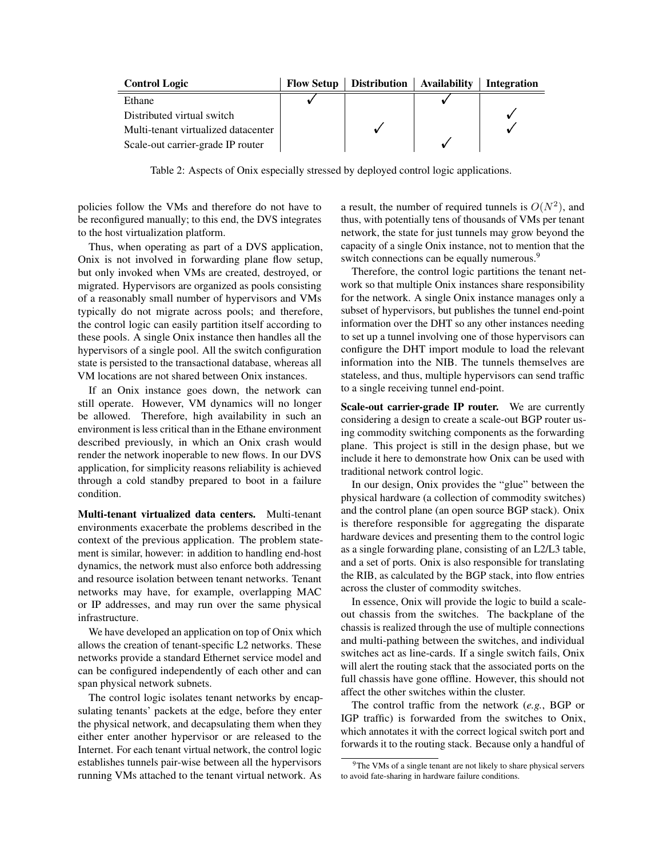<span id="page-9-0"></span>

| <b>Control Logic</b>                | <b>Flow Setup</b> | <b>Distribution Availability</b> | <b>Integration</b> |
|-------------------------------------|-------------------|----------------------------------|--------------------|
| Ethane                              |                   |                                  |                    |
| Distributed virtual switch          |                   |                                  |                    |
| Multi-tenant virtualized datacenter |                   |                                  |                    |
| Scale-out carrier-grade IP router   |                   |                                  |                    |

Table 2: Aspects of Onix especially stressed by deployed control logic applications.

policies follow the VMs and therefore do not have to be reconfigured manually; to this end, the DVS integrates to the host virtualization platform.

Thus, when operating as part of a DVS application, Onix is not involved in forwarding plane flow setup, but only invoked when VMs are created, destroyed, or migrated. Hypervisors are organized as pools consisting of a reasonably small number of hypervisors and VMs typically do not migrate across pools; and therefore, the control logic can easily partition itself according to these pools. A single Onix instance then handles all the hypervisors of a single pool. All the switch configuration state is persisted to the transactional database, whereas all VM locations are not shared between Onix instances.

If an Onix instance goes down, the network can still operate. However, VM dynamics will no longer be allowed. Therefore, high availability in such an environment is less critical than in the Ethane environment described previously, in which an Onix crash would render the network inoperable to new flows. In our DVS application, for simplicity reasons reliability is achieved through a cold standby prepared to boot in a failure condition.

Multi-tenant virtualized data centers. Multi-tenant environments exacerbate the problems described in the context of the previous application. The problem statement is similar, however: in addition to handling end-host dynamics, the network must also enforce both addressing and resource isolation between tenant networks. Tenant networks may have, for example, overlapping MAC or IP addresses, and may run over the same physical infrastructure.

We have developed an application on top of Onix which allows the creation of tenant-specific L2 networks. These networks provide a standard Ethernet service model and can be configured independently of each other and can span physical network subnets.

The control logic isolates tenant networks by encapsulating tenants' packets at the edge, before they enter the physical network, and decapsulating them when they either enter another hypervisor or are released to the Internet. For each tenant virtual network, the control logic establishes tunnels pair-wise between all the hypervisors running VMs attached to the tenant virtual network. As

a result, the number of required tunnels is  $O(N^2)$ , and thus, with potentially tens of thousands of VMs per tenant network, the state for just tunnels may grow beyond the capacity of a single Onix instance, not to mention that the switch connections can be equally numerous.<sup>[9](#page-9-1)</sup>

Therefore, the control logic partitions the tenant network so that multiple Onix instances share responsibility for the network. A single Onix instance manages only a subset of hypervisors, but publishes the tunnel end-point information over the DHT so any other instances needing to set up a tunnel involving one of those hypervisors can configure the DHT import module to load the relevant information into the NIB. The tunnels themselves are stateless, and thus, multiple hypervisors can send traffic to a single receiving tunnel end-point.

Scale-out carrier-grade IP router. We are currently considering a design to create a scale-out BGP router using commodity switching components as the forwarding plane. This project is still in the design phase, but we include it here to demonstrate how Onix can be used with traditional network control logic.

In our design, Onix provides the "glue" between the physical hardware (a collection of commodity switches) and the control plane (an open source BGP stack). Onix is therefore responsible for aggregating the disparate hardware devices and presenting them to the control logic as a single forwarding plane, consisting of an L2/L3 table, and a set of ports. Onix is also responsible for translating the RIB, as calculated by the BGP stack, into flow entries across the cluster of commodity switches.

In essence, Onix will provide the logic to build a scaleout chassis from the switches. The backplane of the chassis is realized through the use of multiple connections and multi-pathing between the switches, and individual switches act as line-cards. If a single switch fails, Onix will alert the routing stack that the associated ports on the full chassis have gone offline. However, this should not affect the other switches within the cluster.

The control traffic from the network (*e.g.*, BGP or IGP traffic) is forwarded from the switches to Onix, which annotates it with the correct logical switch port and forwards it to the routing stack. Because only a handful of

<span id="page-9-1"></span> $9^9$ The VMs of a single tenant are not likely to share physical servers to avoid fate-sharing in hardware failure conditions.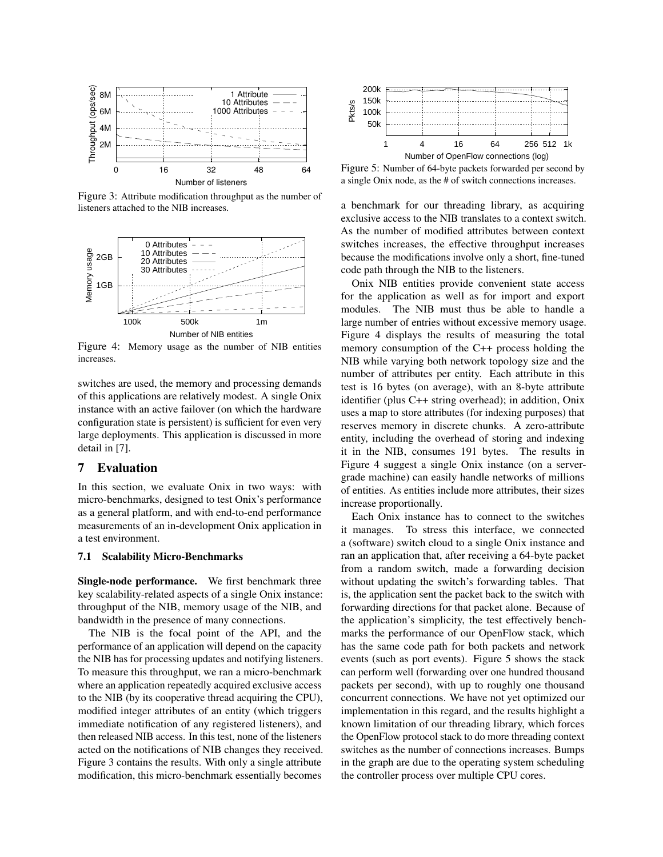<span id="page-10-1"></span>

Figure 3: Attribute modification throughput as the number of listeners attached to the NIB increases.

<span id="page-10-2"></span>

Figure 4: Memory usage as the number of NIB entities increases.

switches are used, the memory and processing demands of this applications are relatively modest. A single Onix instance with an active failover (on which the hardware configuration state is persistent) is sufficient for even very large deployments. This application is discussed in more detail in [\[7\]](#page-13-23).

# <span id="page-10-0"></span>7 Evaluation

In this section, we evaluate Onix in two ways: with micro-benchmarks, designed to test Onix's performance as a general platform, and with end-to-end performance measurements of an in-development Onix application in a test environment.

### 7.1 Scalability Micro-Benchmarks

Single-node performance. We first benchmark three key scalability-related aspects of a single Onix instance: throughput of the NIB, memory usage of the NIB, and bandwidth in the presence of many connections.

The NIB is the focal point of the API, and the performance of an application will depend on the capacity the NIB has for processing updates and notifying listeners. To measure this throughput, we ran a micro-benchmark where an application repeatedly acquired exclusive access to the NIB (by its cooperative thread acquiring the CPU), modified integer attributes of an entity (which triggers immediate notification of any registered listeners), and then released NIB access. In this test, none of the listeners acted on the notifications of NIB changes they received. Figure [3](#page-10-1) contains the results. With only a single attribute modification, this micro-benchmark essentially becomes

<span id="page-10-3"></span>

Figure 5: Number of 64-byte packets forwarded per second by a single Onix node, as the # of switch connections increases.

a benchmark for our threading library, as acquiring exclusive access to the NIB translates to a context switch. As the number of modified attributes between context switches increases, the effective throughput increases because the modifications involve only a short, fine-tuned code path through the NIB to the listeners.

Onix NIB entities provide convenient state access for the application as well as for import and export modules. The NIB must thus be able to handle a large number of entries without excessive memory usage. Figure [4](#page-10-2) displays the results of measuring the total memory consumption of the C++ process holding the NIB while varying both network topology size and the number of attributes per entity. Each attribute in this test is 16 bytes (on average), with an 8-byte attribute identifier (plus C++ string overhead); in addition, Onix uses a map to store attributes (for indexing purposes) that reserves memory in discrete chunks. A zero-attribute entity, including the overhead of storing and indexing it in the NIB, consumes 191 bytes. The results in Figure [4](#page-10-2) suggest a single Onix instance (on a servergrade machine) can easily handle networks of millions of entities. As entities include more attributes, their sizes increase proportionally.

Each Onix instance has to connect to the switches it manages. To stress this interface, we connected a (software) switch cloud to a single Onix instance and ran an application that, after receiving a 64-byte packet from a random switch, made a forwarding decision without updating the switch's forwarding tables. That is, the application sent the packet back to the switch with forwarding directions for that packet alone. Because of the application's simplicity, the test effectively benchmarks the performance of our OpenFlow stack, which has the same code path for both packets and network events (such as port events). Figure [5](#page-10-3) shows the stack can perform well (forwarding over one hundred thousand packets per second), with up to roughly one thousand concurrent connections. We have not yet optimized our implementation in this regard, and the results highlight a known limitation of our threading library, which forces the OpenFlow protocol stack to do more threading context switches as the number of connections increases. Bumps in the graph are due to the operating system scheduling the controller process over multiple CPU cores.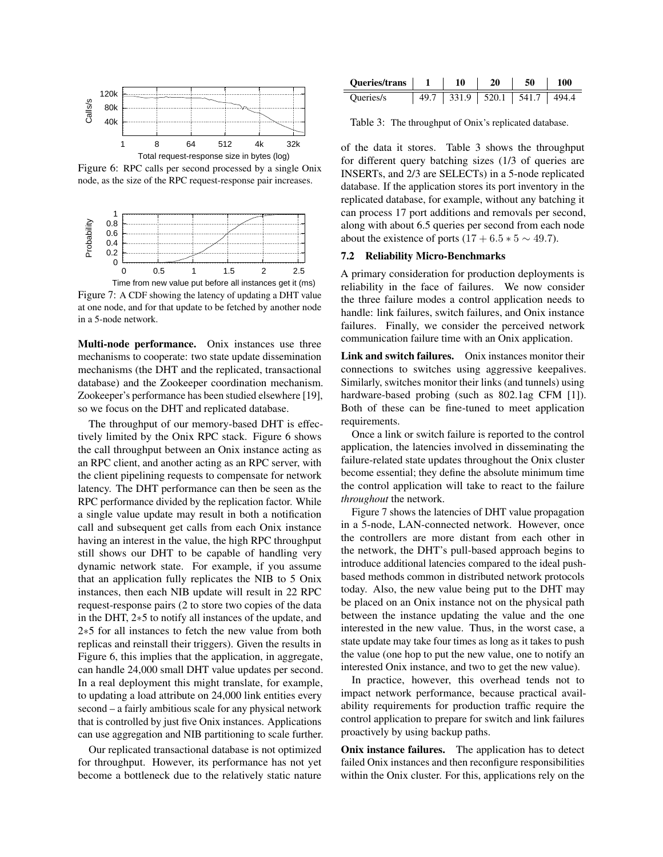<span id="page-11-0"></span>

Figure 6: RPC calls per second processed by a single Onix node, as the size of the RPC request-response pair increases.

<span id="page-11-2"></span>

Figure 7: A CDF showing the latency of updating a DHT value at one node, and for that update to be fetched by another node in a 5-node network.

Multi-node performance. Onix instances use three mechanisms to cooperate: two state update dissemination mechanisms (the DHT and the replicated, transactional database) and the Zookeeper coordination mechanism. Zookeeper's performance has been studied elsewhere [\[19\]](#page-13-18), so we focus on the DHT and replicated database.

The throughput of our memory-based DHT is effectively limited by the Onix RPC stack. Figure [6](#page-11-0) shows the call throughput between an Onix instance acting as an RPC client, and another acting as an RPC server, with the client pipelining requests to compensate for network latency. The DHT performance can then be seen as the RPC performance divided by the replication factor. While a single value update may result in both a notification call and subsequent get calls from each Onix instance having an interest in the value, the high RPC throughput still shows our DHT to be capable of handling very dynamic network state. For example, if you assume that an application fully replicates the NIB to 5 Onix instances, then each NIB update will result in 22 RPC request-response pairs (2 to store two copies of the data in the DHT, 2∗5 to notify all instances of the update, and 2∗5 for all instances to fetch the new value from both replicas and reinstall their triggers). Given the results in Figure [6,](#page-11-0) this implies that the application, in aggregate, can handle 24,000 small DHT value updates per second. In a real deployment this might translate, for example, to updating a load attribute on 24,000 link entities every second – a fairly ambitious scale for any physical network that is controlled by just five Onix instances. Applications can use aggregation and NIB partitioning to scale further.

Our replicated transactional database is not optimized for throughput. However, its performance has not yet become a bottleneck due to the relatively static nature

<span id="page-11-1"></span>

| <b>Oueries/trans</b> | 10            | 20 | 50    | 100   |
|----------------------|---------------|----|-------|-------|
| Queries/s            | $331.9$ 520.1 |    | 541.7 | 494.4 |

Table 3: The throughput of Onix's replicated database.

of the data it stores. Table [3](#page-11-1) shows the throughput for different query batching sizes (1/3 of queries are INSERTs, and 2/3 are SELECTs) in a 5-node replicated database. If the application stores its port inventory in the replicated database, for example, without any batching it can process 17 port additions and removals per second, along with about 6.5 queries per second from each node about the existence of ports  $(17 + 6.5 * 5 \sim 49.7)$ .

#### 7.2 Reliability Micro-Benchmarks

A primary consideration for production deployments is reliability in the face of failures. We now consider the three failure modes a control application needs to handle: link failures, switch failures, and Onix instance failures. Finally, we consider the perceived network communication failure time with an Onix application.

Link and switch failures. Onix instances monitor their connections to switches using aggressive keepalives. Similarly, switches monitor their links (and tunnels) using hardware-based probing (such as 802.1ag CFM [\[1\]](#page-13-24)). Both of these can be fine-tuned to meet application requirements.

Once a link or switch failure is reported to the control application, the latencies involved in disseminating the failure-related state updates throughout the Onix cluster become essential; they define the absolute minimum time the control application will take to react to the failure *throughout* the network.

Figure [7](#page-11-2) shows the latencies of DHT value propagation in a 5-node, LAN-connected network. However, once the controllers are more distant from each other in the network, the DHT's pull-based approach begins to introduce additional latencies compared to the ideal pushbased methods common in distributed network protocols today. Also, the new value being put to the DHT may be placed on an Onix instance not on the physical path between the instance updating the value and the one interested in the new value. Thus, in the worst case, a state update may take four times as long as it takes to push the value (one hop to put the new value, one to notify an interested Onix instance, and two to get the new value).

In practice, however, this overhead tends not to impact network performance, because practical availability requirements for production traffic require the control application to prepare for switch and link failures proactively by using backup paths.

Onix instance failures. The application has to detect failed Onix instances and then reconfigure responsibilities within the Onix cluster. For this, applications rely on the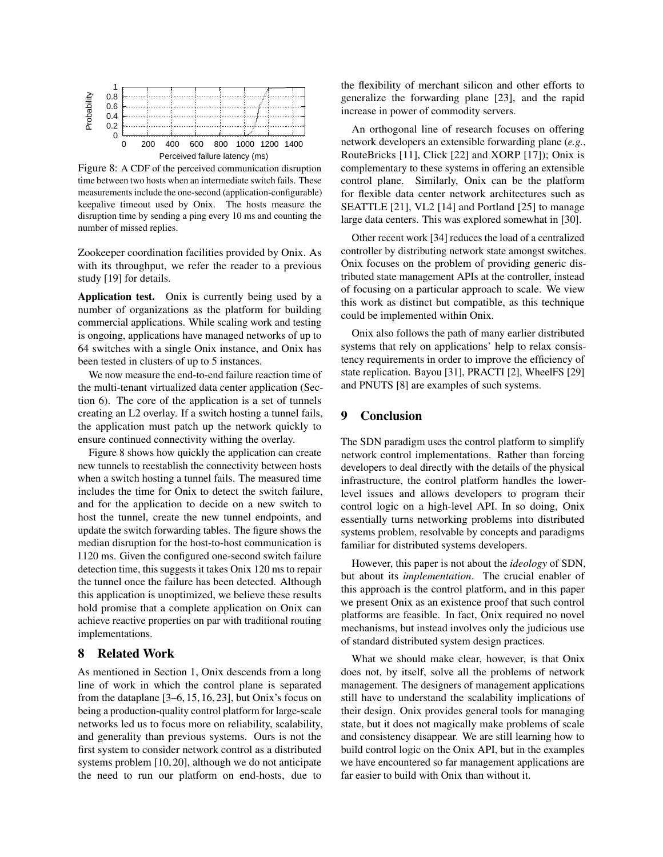<span id="page-12-0"></span>

Figure 8: A CDF of the perceived communication disruption time between two hosts when an intermediate switch fails. These measurements include the one-second (application-configurable) keepalive timeout used by Onix. The hosts measure the disruption time by sending a ping every 10 ms and counting the number of missed replies.

Zookeeper coordination facilities provided by Onix. As with its throughput, we refer the reader to a previous study [\[19\]](#page-13-18) for details.

Application test. Onix is currently being used by a number of organizations as the platform for building commercial applications. While scaling work and testing is ongoing, applications have managed networks of up to 64 switches with a single Onix instance, and Onix has been tested in clusters of up to 5 instances.

We now measure the end-to-end failure reaction time of the multi-tenant virtualized data center application (Section [6\)](#page-8-0). The core of the application is a set of tunnels creating an L2 overlay. If a switch hosting a tunnel fails, the application must patch up the network quickly to ensure continued connectivity withing the overlay.

Figure [8](#page-12-0) shows how quickly the application can create new tunnels to reestablish the connectivity between hosts when a switch hosting a tunnel fails. The measured time includes the time for Onix to detect the switch failure, and for the application to decide on a new switch to host the tunnel, create the new tunnel endpoints, and update the switch forwarding tables. The figure shows the median disruption for the host-to-host communication is 1120 ms. Given the configured one-second switch failure detection time, this suggests it takes Onix 120 ms to repair the tunnel once the failure has been detected. Although this application is unoptimized, we believe these results hold promise that a complete application on Onix can achieve reactive properties on par with traditional routing implementations.

# 8 Related Work

As mentioned in Section [1,](#page-0-3) Onix descends from a long line of work in which the control plane is separated from the dataplane [\[3](#page-13-4)[–6,](#page-13-5) [15,](#page-13-3) [16,](#page-13-7) [23\]](#page-13-9), but Onix's focus on being a production-quality control platform for large-scale networks led us to focus more on reliability, scalability, and generality than previous systems. Ours is not the first system to consider network control as a distributed systems problem [\[10,](#page-13-25) [20\]](#page-13-26), although we do not anticipate the need to run our platform on end-hosts, due to the flexibility of merchant silicon and other efforts to generalize the forwarding plane [\[23\]](#page-13-9), and the rapid increase in power of commodity servers.

An orthogonal line of research focuses on offering network developers an extensible forwarding plane (*e.g.*, RouteBricks [\[11\]](#page-13-27), Click [\[22\]](#page-13-28) and XORP [\[17\]](#page-13-29)); Onix is complementary to these systems in offering an extensible control plane. Similarly, Onix can be the platform for flexible data center network architectures such as SEATTLE [\[21\]](#page-13-1), VL2 [\[14\]](#page-13-30) and Portland [\[25\]](#page-13-31) to manage large data centers. This was explored somewhat in [\[30\]](#page-13-32).

Other recent work [\[34\]](#page-13-33) reduces the load of a centralized controller by distributing network state amongst switches. Onix focuses on the problem of providing generic distributed state management APIs at the controller, instead of focusing on a particular approach to scale. We view this work as distinct but compatible, as this technique could be implemented within Onix.

Onix also follows the path of many earlier distributed systems that rely on applications' help to relax consistency requirements in order to improve the efficiency of state replication. Bayou [\[31\]](#page-13-17), PRACTI [\[2\]](#page-13-14), WheelFS [\[29\]](#page-13-16) and PNUTS [\[8\]](#page-13-15) are examples of such systems.

# 9 Conclusion

The SDN paradigm uses the control platform to simplify network control implementations. Rather than forcing developers to deal directly with the details of the physical infrastructure, the control platform handles the lowerlevel issues and allows developers to program their control logic on a high-level API. In so doing, Onix essentially turns networking problems into distributed systems problem, resolvable by concepts and paradigms familiar for distributed systems developers.

However, this paper is not about the *ideology* of SDN, but about its *implementation*. The crucial enabler of this approach is the control platform, and in this paper we present Onix as an existence proof that such control platforms are feasible. In fact, Onix required no novel mechanisms, but instead involves only the judicious use of standard distributed system design practices.

What we should make clear, however, is that Onix does not, by itself, solve all the problems of network management. The designers of management applications still have to understand the scalability implications of their design. Onix provides general tools for managing state, but it does not magically make problems of scale and consistency disappear. We are still learning how to build control logic on the Onix API, but in the examples we have encountered so far management applications are far easier to build with Onix than without it.